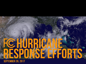

**SEPTEMBER 26, 2017**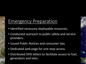## Emergency Preparation

- Identified necessary deployable resources.
- Conducted outreach to public safety and service providers.
- Issued Public Notices and consumer tips.
- Dedicated web page for one-stop access.
- Distributed DHS letters to facilitate access to fuel, generators and sites.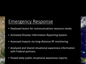# Emergency Response

- Deployed teams for communications resource needs.
- Activated Disaster Information Reporting System.
- Assessed impacts via long-distance RF monitoring.
- Analyzed and shared situational awareness information with Federal partners.
- Posted daily public situational awareness reports.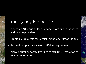## Emergency Response

- Processed 48 requests for assistance from first responders and service providers.
- Granted 91 requests for Special Temporary Authorizations.
- Granted temporary waivers of Lifeline requirements.
- Waived number portability rules to facilitate restoration of telephone services.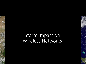# Storm Impact on Wireless Networks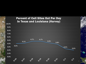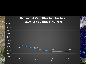### Percent of Cell Sites Out Per Day Texas - 13 Counties (Harvey)

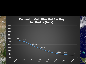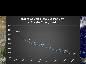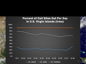### Percent of Cell Sites Out Per Day in U.S. Virgin Islands (Irma)

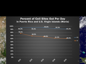#### Percent of Cell Sites Out Per Day in Puerto Rico and U.S. Virgin Islands (Maria)